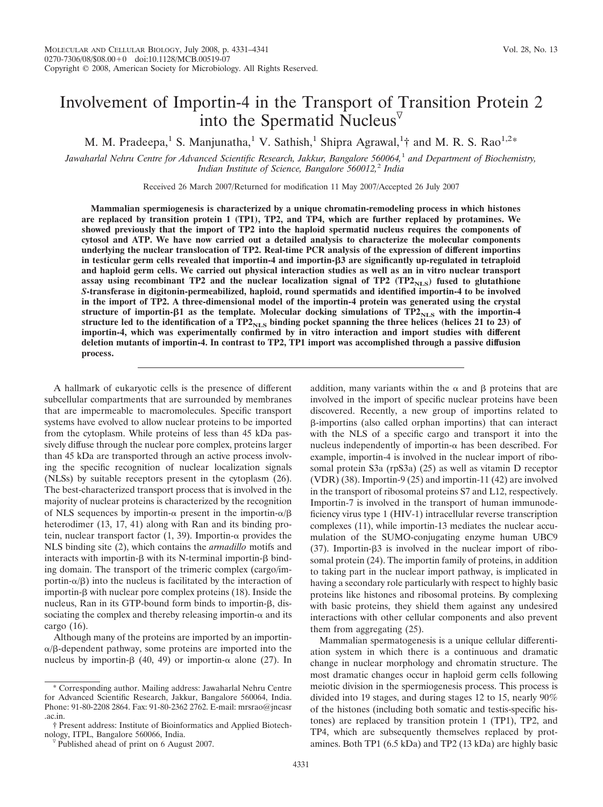# Involvement of Importin-4 in the Transport of Transition Protein 2 into the Spermatid Nucleus $\bar{v}$

M. M. Pradeepa, <sup>1</sup> S. Manjunatha, <sup>1</sup> V. Sathish, <sup>1</sup> Shipra Agrawal, <sup>1</sup>† and M. R. S. Rao<sup>1,2\*</sup>

*Jawaharlal Nehru Centre for Advanced Scientific Research, Jakkur, Bangalore 560064,*<sup>1</sup> *and Department of Biochemistry, Indian Institute of Science, Bangalore 560012,*<sup>2</sup> *India*

Received 26 March 2007/Returned for modification 11 May 2007/Accepted 26 July 2007

**Mammalian spermiogenesis is characterized by a unique chromatin-remodeling process in which histones are replaced by transition protein 1 (TP1), TP2, and TP4, which are further replaced by protamines. We showed previously that the import of TP2 into the haploid spermatid nucleus requires the components of cytosol and ATP. We have now carried out a detailed analysis to characterize the molecular components underlying the nuclear translocation of TP2. Real-time PCR analysis of the expression of different importins in testicular germ cells revealed that importin-4 and importin-3 are significantly up-regulated in tetraploid and haploid germ cells. We carried out physical interaction studies as well as an in vitro nuclear transport** assay using recombinant TP2 and the nuclear localization signal of TP2 (TP2<sub>NLS</sub>) fused to glutathione *S***-transferase in digitonin-permeabilized, haploid, round spermatids and identified importin-4 to be involved in the import of TP2. A three-dimensional model of the importin-4 protein was generated using the crystal** structure of importin- $\beta$ 1 as the template. Molecular docking simulations of  $TP2_{NLS}$  with the importin-4 structure led to the identification of a  $TP2_{NIS}$  binding pocket spanning the three helices (helices 21 to 23) of **importin-4, which was experimentally confirmed by in vitro interaction and import studies with different deletion mutants of importin-4. In contrast to TP2, TP1 import was accomplished through a passive diffusion process.**

A hallmark of eukaryotic cells is the presence of different subcellular compartments that are surrounded by membranes that are impermeable to macromolecules. Specific transport systems have evolved to allow nuclear proteins to be imported from the cytoplasm. While proteins of less than 45 kDa passively diffuse through the nuclear pore complex, proteins larger than 45 kDa are transported through an active process involving the specific recognition of nuclear localization signals (NLSs) by suitable receptors present in the cytoplasm (26). The best-characterized transport process that is involved in the majority of nuclear proteins is characterized by the recognition of NLS sequences by importin- $\alpha$  present in the importin- $\alpha/\beta$ heterodimer (13, 17, 41) along with Ran and its binding protein, nuclear transport factor  $(1, 39)$ . Importin- $\alpha$  provides the NLS binding site (2), which contains the *armadillo* motifs and interacts with importin- $\beta$  with its N-terminal importin- $\beta$  binding domain. The transport of the trimeric complex (cargo/importin- $\alpha/\beta$ ) into the nucleus is facilitated by the interaction of importin- $\beta$  with nuclear pore complex proteins (18). Inside the nucleus, Ran in its GTP-bound form binds to importin- $\beta$ , dissociating the complex and thereby releasing importin- $\alpha$  and its cargo (16).

Although many of the proteins are imported by an importin-  $\alpha$ / $\beta$ -dependent pathway, some proteins are imported into the nucleus by importin- $\beta$  (40, 49) or importin- $\alpha$  alone (27). In

addition, many variants within the  $\alpha$  and  $\beta$  proteins that are involved in the import of specific nuclear proteins have been discovered. Recently, a new group of importins related to -importins (also called orphan importins) that can interact with the NLS of a specific cargo and transport it into the nucleus independently of importin- $\alpha$  has been described. For example, importin-4 is involved in the nuclear import of ribosomal protein S3a (rpS3a) (25) as well as vitamin D receptor (VDR) (38). Importin-9 (25) and importin-11 (42) are involved in the transport of ribosomal proteins S7 and L12, respectively. Importin-7 is involved in the transport of human immunodeficiency virus type 1 (HIV-1) intracellular reverse transcription complexes (11), while importin-13 mediates the nuclear accumulation of the SUMO-conjugating enzyme human UBC9 (37). Importin- $\beta$ 3 is involved in the nuclear import of ribosomal protein (24). The importin family of proteins, in addition to taking part in the nuclear import pathway, is implicated in having a secondary role particularly with respect to highly basic proteins like histones and ribosomal proteins. By complexing with basic proteins, they shield them against any undesired interactions with other cellular components and also prevent them from aggregating (25).

Mammalian spermatogenesis is a unique cellular differentiation system in which there is a continuous and dramatic change in nuclear morphology and chromatin structure. The most dramatic changes occur in haploid germ cells following meiotic division in the spermiogenesis process. This process is divided into 19 stages, and during stages 12 to 15, nearly 90% of the histones (including both somatic and testis-specific histones) are replaced by transition protein 1 (TP1), TP2, and TP4, which are subsequently themselves replaced by protamines. Both TP1 (6.5 kDa) and TP2 (13 kDa) are highly basic

<sup>\*</sup> Corresponding author. Mailing address: Jawaharlal Nehru Centre for Advanced Scientific Research, Jakkur, Bangalore 560064, India. Phone: 91-80-2208 2864. Fax: 91-80-2362 2762. E-mail: mrsrao@jncasr .ac.in.

<sup>†</sup> Present address: Institute of Bioinformatics and Applied Biotech-

 $\nabla$  Published ahead of print on 6 August 2007.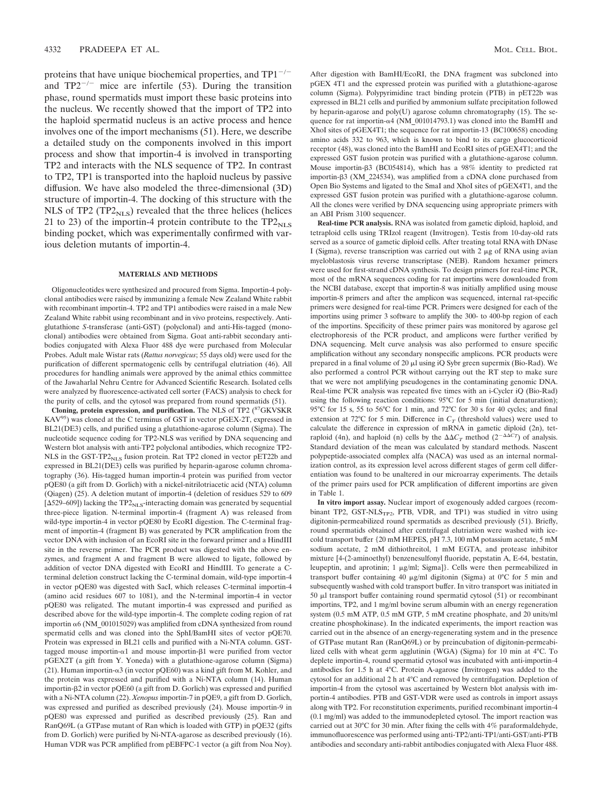proteins that have unique biochemical properties, and  $TP1^{-/-}$ and  $TP2^{-/-}$  mice are infertile (53). During the transition phase, round spermatids must import these basic proteins into the nucleus. We recently showed that the import of TP2 into the haploid spermatid nucleus is an active process and hence involves one of the import mechanisms (51). Here, we describe a detailed study on the components involved in this import process and show that importin-4 is involved in transporting TP2 and interacts with the NLS sequence of TP2. In contrast to TP2, TP1 is transported into the haploid nucleus by passive diffusion. We have also modeled the three-dimensional (3D) structure of importin-4. The docking of this structure with the NLS of TP2 (TP2 $_{\rm NLS}$ ) revealed that the three helices (helices 21 to 23) of the importin-4 protein contribute to the  $TP2<sub>NLS</sub>$ binding pocket, which was experimentally confirmed with various deletion mutants of importin-4.

## **MATERIALS AND METHODS**

Oligonucleotides were synthesized and procured from Sigma. Importin-4 polyclonal antibodies were raised by immunizing a female New Zealand White rabbit with recombinant importin-4. TP2 and TP1 antibodies were raised in a male New Zealand White rabbit using recombinant and in vivo proteins, respectively. Antiglutathione *S*-transferase (anti-GST) (polyclonal) and anti-His-tagged (monoclonal) antibodies were obtained from Sigma. Goat anti-rabbit secondary antibodies conjugated with Alexa Fluor 488 dye were purchased from Molecular Probes. Adult male Wistar rats (*Rattus norvegicus*; 55 days old) were used for the purification of different spermatogenic cells by centrifugal elutriation (46). All procedures for handling animals were approved by the animal ethics committee of the Jawaharlal Nehru Centre for Advanced Scientific Research. Isolated cells were analyzed by fluorescence-activated cell sorter (FACS) analysis to check for the purity of cells, and the cytosol was prepared from round spermatids (51).

Cloning, protein expression, and purification. The NLS of TP2 (<sup>87</sup>GKVSKR KAV95) was cloned at the C terminus of GST in vector pGEX-2T, expressed in BL21(DE3) cells, and purified using a glutathione-agarose column (Sigma). The nucleotide sequence coding for TP2-NLS was verified by DNA sequencing and Western blot analysis with anti-TP2 polyclonal antibodies, which recognize TP2- NLS in the GST-TP2<sub>NLS</sub> fusion protein. Rat TP2 cloned in vector pET22b and expressed in BL21(DE3) cells was purified by heparin-agarose column chromatography (36). His-tagged human importin-4 protein was purified from vector pQE80 (a gift from D. Gorlich) with a nickel-nitrilotriacetic acid (NTA) column (Qiagen) (25). A deletion mutant of importin-4 (deletion of residues 529 to 609 [ $\Delta$ 529–609]) lacking the TP2<sub>NLS</sub>-interacting domain was generated by sequential three-piece ligation. N-terminal importin-4 (fragment A) was released from wild-type importin-4 in vector pQE80 by EcoRI digestion. The C-terminal fragment of importin-4 (fragment B) was generated by PCR amplification from the vector DNA with inclusion of an EcoRI site in the forward primer and a HindIII site in the reverse primer. The PCR product was digested with the above enzymes, and fragment A and fragment B were allowed to ligate, followed by addition of vector DNA digested with EcoRI and HindIII. To generate a Cterminal deletion construct lacking the C-terminal domain, wild-type importin-4 in vector pQE80 was digested with SacI, which releases C-terminal importin-4 (amino acid residues 607 to 1081), and the N-terminal importin-4 in vector pQE80 was religated. The mutant importin-4 was expressed and purified as described above for the wild-type importin-4. The complete coding region of rat importin  $\alpha$ 6 (NM\_001015029) was amplified from cDNA synthesized from round spermatid cells and was cloned into the SphI/BamHI sites of vector pQE70. Protein was expressed in BL21 cells and purified with a Ni-NTA column. GSTtagged mouse importin- $\alpha$ 1 and mouse importin- $\beta$ 1 were purified from vector pGEX2T (a gift from Y. Yoneda) with a glutathione-agarose column (Sigma) (21). Human importin- $\alpha$ 3 (in vector pQE60) was a kind gift from M. Kohler, and the protein was expressed and purified with a Ni-NTA column (14). Human importin-2 in vector pQE60 (a gift from D. Gorlich) was expressed and purified with a Ni-NTA column (22). *Xenopus* importin-7 in pQE9, a gift from D. Gorlich, was expressed and purified as described previously (24). Mouse importin-9 in pQE80 was expressed and purified as described previously (25). Ran and RanQ69L (a GTPase mutant of Ran which is loaded with GTP) in pQE32 (gifts from D. Gorlich) were purified by Ni-NTA-agarose as described previously (16). Human VDR was PCR amplified from pEBFPC-1 vector (a gift from Noa Noy).

After digestion with BamHI/EcoRI, the DNA fragment was subcloned into pGEX 4T1 and the expressed protein was purified with a glutathione-agarose column (Sigma). Polypyrimidine tract binding protein (PTB) in pET22b was expressed in BL21 cells and purified by ammonium sulfate precipitation followed by heparin-agarose and poly(U) agarose column chromatography (15). The sequence for rat importin- $\alpha$ 4 (NM\_001014793.1) was cloned into the BamHI and XhoI sites of pGEX4T1; the sequence for rat importin-13 (BC100658) encoding amino acids 332 to 963, which is known to bind to its cargo glucocorticoid receptor (48), was cloned into the BamHI and EcoRI sites of pGEX4T1; and the expressed GST fusion protein was purified with a glutathione-agarose column. Mouse importin- $\beta$ 3 (BC054814), which has a 98% identity to predicted rat importin-3 (XM\_224534), was amplified from a cDNA clone purchased from Open Bio Systems and ligated to the SmaI and XhoI sites of pGEX4T1, and the expressed GST fusion protein was purified with a glutathione-agarose column. All the clones were verified by DNA sequencing using appropriate primers with an ABI Prism 3100 sequencer.

**Real-time PCR analysis.** RNA was isolated from gametic diploid, haploid, and tetraploid cells using TRIzol reagent (Invitrogen). Testis from 10-day-old rats served as a source of gametic diploid cells. After treating total RNA with DNase I (Sigma), reverse transcription was carried out with  $2 \mu g$  of RNA using avian myeloblastosis virus reverse transcriptase (NEB). Random hexamer primers were used for first-strand cDNA synthesis. To design primers for real-time PCR, most of the mRNA sequences coding for rat importins were downloaded from the NCBI database, except that importin-8 was initially amplified using mouse importin-8 primers and after the amplicon was sequenced, internal rat-specific primers were designed for real-time PCR. Primers were designed for each of the importins using primer 3 software to amplify the 300- to 400-bp region of each of the importins. Specificity of these primer pairs was monitored by agarose gel electrophoresis of the PCR product, and amplicons were further verified by DNA sequencing. Melt curve analysis was also performed to ensure specific amplification without any secondary nonspecific amplicons. PCR products were prepared in a final volume of 20  $\mu$ l using iQ Sybr green supermix (Bio-Rad). We also performed a control PCR without carrying out the RT step to make sure that we were not amplifying pseudogenes in the contaminating genomic DNA. Real-time PCR analysis was repeated five times with an i-Cycler iQ (Bio-Rad) using the following reaction conditions: 95°C for 5 min (initial denaturation); 95°C for 15 s, 55 to 56°C for 1 min, and 72°C for 30 s for 40 cycles; and final extension at 72°C for 5 min. Difference in  $C_T$  (threshold values) were used to calculate the difference in expression of mRNA in gametic diploid (2n), tetraploid (4n), and haploid (n) cells by the  $\Delta \Delta C_T$  method (2<sup>- $\Delta \Delta C_T$ </sup>) of analysis. Standard deviation of the mean was calculated by standard methods. Nascent polypeptide-associated complex alfa (NACA) was used as an internal normalization control, as its expression level across different stages of germ cell differentiation was found to be unaltered in our microarray experiments. The details of the primer pairs used for PCR amplification of different importins are given in Table 1.

**In vitro import assay.** Nuclear import of exogenously added cargoes (recombinant TP2, GST-NLS<sub>TP2</sub>, PTB, VDR, and TP1) was studied in vitro using digitonin-permeabilized round spermatids as described previously (51). Briefly, round spermatids obtained after centrifugal elutriation were washed with icecold transport buffer {20 mM HEPES, pH 7.3, 100 mM potassium acetate, 5 mM sodium acetate, 2 mM dithiothreitol, 1 mM EGTA, and protease inhibitor mixture [4-(2-aminoethyl) benzenesulfonyl fluoride, pepstatin A, E-64, bestatin, leupeptin, and aprotinin;  $1 \mu g/ml$ ; Sigma]}. Cells were then permeabilized in transport buffer containing 40  $\mu$ g/ml digitonin (Sigma) at 0°C for 5 min and subsequently washed with cold transport buffer. In vitro transport was initiated in 50  $\mu$ l transport buffer containing round spermatid cytosol (51) or recombinant importins, TP2, and 1 mg/ml bovine serum albumin with an energy regeneration system (0.5 mM ATP, 0.5 mM GTP, 5 mM creatine phosphate, and 20 units/ml creatine phosphokinase). In the indicated experiments, the import reaction was carried out in the absence of an energy-regenerating system and in the presence of GTPase mutant Ran (RanQ69L) or by preincubation of digitonin-permeabilized cells with wheat germ agglutinin (WGA) (Sigma) for 10 min at 4°C. To deplete importin-4, round spermatid cytosol was incubated with anti-importin-4 antibodies for 1.5 h at 4°C. Protein A-agarose (Invitrogen) was added to the cytosol for an additional 2 h at 4°C and removed by centrifugation. Depletion of importin-4 from the cytosol was ascertained by Western blot analysis with importin-4 antibodies. PTB and GST-VDR were used as controls in import assays along with TP2. For reconstitution experiments, purified recombinant importin-4 (0.1 mg/ml) was added to the immunodepleted cytosol. The import reaction was carried out at 30°C for 30 min. After fixing the cells with 4% paraformaldehyde, immunofluorescence was performed using anti-TP2/anti-TP1/anti-GST/anti-PTB antibodies and secondary anti-rabbit antibodies conjugated with Alexa Fluor 488.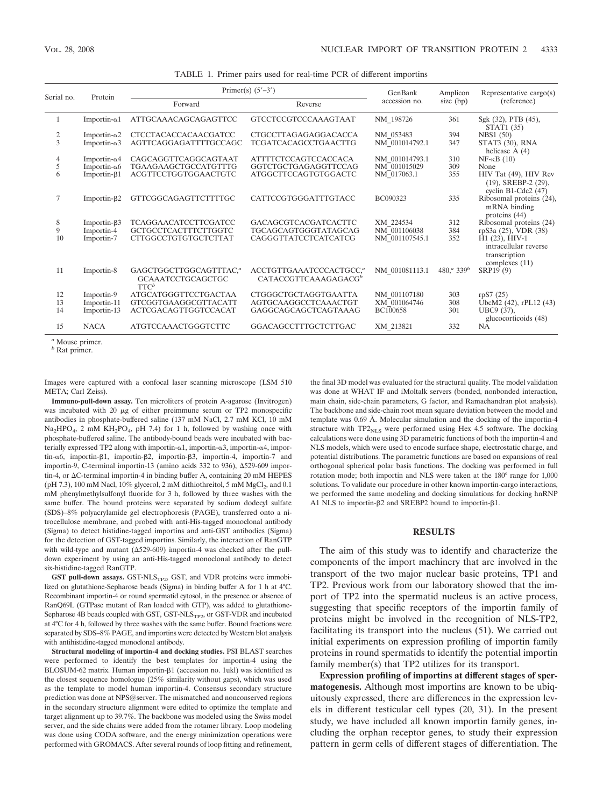| Serial no. | Protein              | Primer(s) $(5'-3')$                                                       |                                                                         | GenBank         | Amplicon                   | Representative cargo(s)                                                          |
|------------|----------------------|---------------------------------------------------------------------------|-------------------------------------------------------------------------|-----------------|----------------------------|----------------------------------------------------------------------------------|
|            |                      | Forward                                                                   | Reverse                                                                 | accession no.   | size (bp)                  | (reference)                                                                      |
| 1          | Importin- $\alpha$ 1 | ATTGCAAACAGCAGAGTTCC                                                      | <b>GTCCTCCGTCCCAAAGTAAT</b>                                             | NM 198726       | 361                        | Sgk (32), PTB (45),<br>STAT1 (35)                                                |
| 2          | Importin- $\alpha$ 2 | <b>CTCCTACACCACAACGATCC</b>                                               | <b>CTGCCTTAGAGAGGACACCA</b>                                             | NM 053483       | 394                        | <b>NBS1</b> (50)                                                                 |
| 3          | Importin- $\alpha$ 3 | AGTTCAGGAGATTTTGCCAGC                                                     | <b>TCGATCACAGCCTGAACTTG</b>                                             | NM 001014792.1  | 347                        | STAT3 (30), RNA<br>helicase $A(4)$                                               |
| 4          | Importin- $\alpha$ 4 | CAGCAGGTTCAGGCAGTAAT                                                      | <b>ATTTTCTCCAGTCCACCACA</b>                                             | NM 001014793.1  | 310                        | $NF-kB(10)$                                                                      |
| 5          | Importin- $\alpha$ 6 | TGAAGAAGCTGCCATGTTTG                                                      | GGTCTGCTGAGAGGTTCCAG                                                    | NM 001015029    | 309                        | None                                                                             |
| 6          | Importin- $\beta$ 1  | ACGTTCCTGGTGGAACTGTC                                                      | <b>ATGGCTTCCAGTGTGGACTC</b>                                             | NM 017063.1     | 355                        | HIV Tat (49), HIV Rev<br>$(19)$ , SREBP-2 $(29)$ ,<br>cyclin B1-Cdc2 $(47)$      |
| 7          | Importin- $\beta$ 2  | GTTCGGCAGAGTTCTTTTGC                                                      | CATTCCGTGGGATTTGTACC                                                    | BC090323        | 335                        | Ribosomal proteins (24),<br>mRNA binding<br>proteins (44)                        |
| 8          | Importin- $\beta$ 3  | <b>TCAGGAACATCCTTCGATCC</b>                                               | <b>GACAGCGTCACGATCACTTC</b>                                             | XM 224534       | 312                        | Ribosomal proteins (24)                                                          |
| 9          | Importin-4           | <b>GCTGCCTCACTTTCTTGGTC</b>                                               | TGCAGCAGTGGGTATAGCAG                                                    | NM 001106038    | 384                        | rpS3a (25), VDR (38)                                                             |
| 10         | Importin-7           | CTTGGCCTGTGTGCTCTTAT                                                      | CAGGGTTATCCTCATCATCG                                                    | NM 001107545.1  | 352                        | $H1(23)$ , $HIV-1$<br>intracellular reverse<br>transcription<br>complexes $(11)$ |
| 11         | Importin-8           | GAGCTGGCTTGGCAGTTTAC, <sup>a</sup><br><b>GCAAATCCTGCAGCTGC</b><br>$TTC^b$ | ACCTGTTGAAATCCCACTGCC. <sup>a</sup><br>CATACCGTTCAAAGAGACG <sup>b</sup> | NM 001081113.1  | $480^{a}$ 339 <sup>b</sup> | SRP19 (9)                                                                        |
| 12         | Importin-9           | <b>ATGCATGGGTTCCTGACTAA</b>                                               | <b>CTGGGCTGCTAGGTGAATTA</b>                                             | NM 001107180    | 303                        | r p S7 (25)                                                                      |
| 13         | Importin-11          | <b>GTCGGTGAAGGCGTTACATT</b>                                               | AGTGCAAGGCCTCAAACTGT                                                    | XM 001064746    | 308                        | UbcM2 (42), rPL12 (43)                                                           |
| 14         | Importin-13          | ACTCGACAGTTGGTCCACAT                                                      | GAGGCAGCAGCTCAGTAAAG                                                    | <b>BC100658</b> | 301                        | UBC9 (37),<br>glucocorticoids (48)                                               |
| 15         | <b>NACA</b>          | <b>ATGTCCAAACTGGGTCTTC</b>                                                | GGACAGCCTTTGCTCTTGAC                                                    | XM 213821       | 332                        | NA                                                                               |
|            |                      |                                                                           |                                                                         |                 |                            |                                                                                  |

TABLE 1. Primer pairs used for real-time PCR of different importins

*<sup>a</sup>* Mouse primer.

*<sup>b</sup>* Rat primer.

Images were captured with a confocal laser scanning microscope (LSM 510 META; Carl Zeiss).

**Immuno-pull-down assay.** Ten microliters of protein A-agarose (Invitrogen) was incubated with 20  $\mu$ g of either preimmune serum or TP2 monospecific antibodies in phosphate-buffered saline (137 mM NaCl, 2.7 mM KCl, 10 mM Na<sub>2</sub>HPO<sub>4</sub>, 2 mM KH<sub>2</sub>PO<sub>4</sub>, pH 7.4) for 1 h, followed by washing once with phosphate-buffered saline. The antibody-bound beads were incubated with bacterially expressed TP2 along with importin- $\alpha$ 1, importin- $\alpha$ 3, importin- $\alpha$ 4, importin-α6, importin-β1, importin-β2, importin-β3, importin-4, importin-7 and importin-9, C-terminal importin-13 (amino acids  $332$  to  $936$ ),  $\Delta 529-609$  importin-4, or  $\Delta C$ -terminal importin-4 in binding buffer A, containing 20 mM HEPES (pH 7.3), 100 mM Nacl,  $10\%$  glycerol, 2 mM dithiothreitol, 5 mM MgCl<sub>2</sub>, and 0.1 mM phenylmethylsulfonyl fluoride for 3 h, followed by three washes with the same buffer. The bound proteins were separated by sodium dodecyl sulfate (SDS)–8% polyacrylamide gel electrophoresis (PAGE), transferred onto a nitrocellulose membrane, and probed with anti-His-tagged monoclonal antibody (Sigma) to detect histidine-tagged importins and anti-GST antibodies (Sigma) for the detection of GST-tagged importins. Similarly, the interaction of RanGTP with wild-type and mutant  $(\Delta 529 - 609)$  importin-4 was checked after the pulldown experiment by using an anti-His-tagged monoclonal antibody to detect six-histidine-tagged RanGTP.

**GST pull-down assays.** GST-NLS<sub>TP2</sub>, GST, and VDR proteins were immobilized on glutathione-Sepharose beads (Sigma) in binding buffer A for 1 h at 4°C. Recombinant importin-4 or round spermatid cytosol, in the presence or absence of RanQ69L (GTPase mutant of Ran loaded with GTP), was added to glutathione-Sepharose 4B beads coupled with GST, GST-NLS<sub>TP2</sub>, or GST-VDR and incubated at 4°C for 4 h, followed by three washes with the same buffer. Bound fractions were separated by SDS–8% PAGE, and importins were detected by Western blot analysis with antihistidine-tagged monoclonal antibody.

**Structural modeling of importin-4 and docking studies.** PSI BLAST searches were performed to identify the best templates for importin-4 using the BLOSUM-62 matrix. Human importin- $\beta$ 1 (accession no. 1ukl) was identified as the closest sequence homologue (25% similarity without gaps), which was used as the template to model human importin-4. Consensus secondary structure prediction was done at NPS@server. The mismatched and nonconserved regions in the secondary structure alignment were edited to optimize the template and target alignment up to 39.7%. The backbone was modeled using the Swiss model server, and the side chains were added from the rotamer library. Loop modeling was done using CODA software, and the energy minimization operations were performed with GROMACS. After several rounds of loop fitting and refinement, the final 3D model was evaluated for the structural quality. The model validation was done at WHAT IF and iMoltalk servers (bonded, nonbonded interaction, main chain, side-chain parameters, G factor, and Ramachandran plot analysis). The backbone and side-chain root mean square deviation between the model and template was 0.69 Å. Molecular simulation and the docking of the importin-4 structure with  $TP2<sub>NLS</sub>$  were performed using Hex 4.5 software. The docking calculations were done using 3D parametric functions of both the importin-4 and NLS models, which were used to encode surface shape, electrostatic charge, and potential distributions. The parametric functions are based on expansions of real orthogonal spherical polar basis functions. The docking was performed in full rotation mode; both importin and NLS were taken at the 180° range for 1,000 solutions. To validate our procedure in other known importin-cargo interactions, we performed the same modeling and docking simulations for docking hnRNP A1 NLS to importin-β2 and SREBP2 bound to importin-β1.

## **RESULTS**

The aim of this study was to identify and characterize the components of the import machinery that are involved in the transport of the two major nuclear basic proteins, TP1 and TP2. Previous work from our laboratory showed that the import of TP2 into the spermatid nucleus is an active process, suggesting that specific receptors of the importin family of proteins might be involved in the recognition of NLS-TP2, facilitating its transport into the nucleus (51). We carried out initial experiments on expression profiling of importin family proteins in round spermatids to identify the potential importin family member(s) that TP2 utilizes for its transport.

**Expression profiling of importins at different stages of spermatogenesis.** Although most importins are known to be ubiquitously expressed, there are differences in the expression levels in different testicular cell types (20, 31). In the present study, we have included all known importin family genes, including the orphan receptor genes, to study their expression pattern in germ cells of different stages of differentiation. The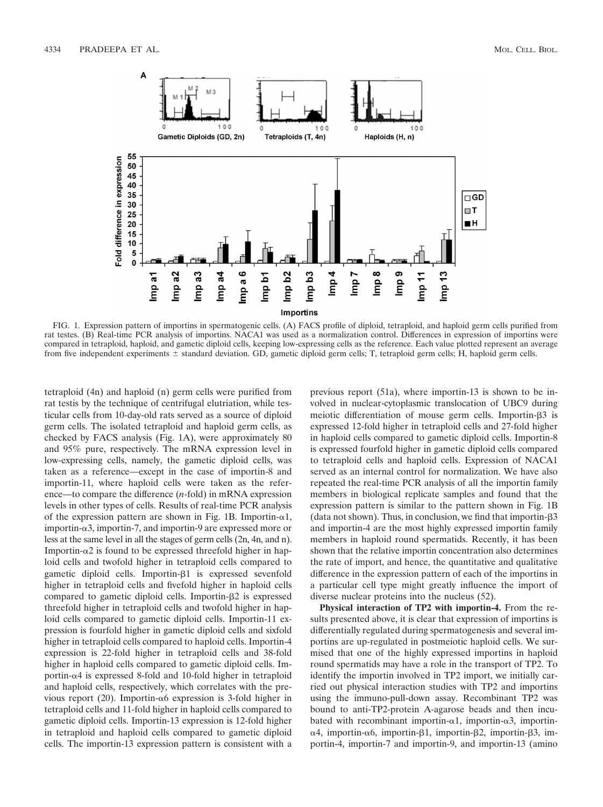

FIG. 1. Expression pattern of importins in spermatogenic cells. (A) FACS profile of diploid, tetraploid, and haploid germ cells purified from rat testes. (B) Real-time PCR analysis of importins. NACA1 was used as a normalization control. Differences in expression of importins were compared in tetraploid, haploid, and gametic diploid cells, keeping low-expressing cells as the reference. Each value plotted represent an average from five independent experiments  $\pm$  standard deviation. GD, gametic diploid germ cells; T, tetraploid germ cells; H, haploid germ cells.

tetraploid (4n) and haploid (n) germ cells were purified from rat testis by the technique of centrifugal elutriation, while testicular cells from 10-day-old rats served as a source of diploid germ cells. The isolated tetraploid and haploid germ cells, as checked by FACS analysis (Fig. 1A), were approximately 80 and 95% pure, respectively. The mRNA expression level in low-expressing cells, namely, the gametic diploid cells, was taken as a reference—except in the case of importin-8 and importin-11, where haploid cells were taken as the reference—to compare the difference (*n*-fold) in mRNA expression levels in other types of cells. Results of real-time PCR analysis of the expression pattern are shown in Fig. 1B. Importin- $\alpha$ 1,  $im$  importin- $\alpha$ 3, importin-7, and importin-9 are expressed more or less at the same level in all the stages of germ cells (2n, 4n, and n). Importin- $\alpha$ 2 is found to be expressed threefold higher in haploid cells and twofold higher in tetraploid cells compared to gametic diploid cells. Importin- $\beta$ 1 is expressed sevenfold higher in tetraploid cells and fivefold higher in haploid cells compared to gametic diploid cells. Importin- $\beta$ 2 is expressed threefold higher in tetraploid cells and twofold higher in haploid cells compared to gametic diploid cells. Importin-11 expression is fourfold higher in gametic diploid cells and sixfold higher in tetraploid cells compared to haploid cells. Importin-4 expression is 22-fold higher in tetraploid cells and 38-fold higher in haploid cells compared to gametic diploid cells. Importin-α4 is expressed 8-fold and 10-fold higher in tetraploid and haploid cells, respectively, which correlates with the previous report (20). Importin- $\alpha$ 6 expression is 3-fold higher in tetraploid cells and 11-fold higher in haploid cells compared to gametic diploid cells. Importin-13 expression is 12-fold higher in tetraploid and haploid cells compared to gametic diploid cells. The importin-13 expression pattern is consistent with a

previous report (51a), where importin-13 is shown to be involved in nuclear-cytoplasmic translocation of UBC9 during meiotic differentiation of mouse germ cells. Importin- $\beta$ 3 is expressed 12-fold higher in tetraploid cells and 27-fold higher in haploid cells compared to gametic diploid cells. Importin-8 is expressed fourfold higher in gametic diploid cells compared to tetraploid cells and haploid cells. Expression of NACA1 served as an internal control for normalization. We have also repeated the real-time PCR analysis of all the importin family members in biological replicate samples and found that the expression pattern is similar to the pattern shown in Fig. 1B (data not shown). Thus, in conclusion, we find that importin- $\beta$ 3 and importin-4 are the most highly expressed importin family members in haploid round spermatids. Recently, it has been shown that the relative importin concentration also determines the rate of import, and hence, the quantitative and qualitative difference in the expression pattern of each of the importins in a particular cell type might greatly influence the import of diverse nuclear proteins into the nucleus (52).

**Physical interaction of TP2 with importin-4.** From the results presented above, it is clear that expression of importins is differentially regulated during spermatogenesis and several importins are up-regulated in postmeiotic haploid cells. We surmised that one of the highly expressed importins in haploid round spermatids may have a role in the transport of TP2. To identify the importin involved in TP2 import, we initially carried out physical interaction studies with TP2 and importins using the immuno-pull-down assay. Recombinant TP2 was bound to anti-TP2-protein A-agarose beads and then incubated with recombinant importin- $\alpha$ 1, importin- $\alpha$ 3, importinα4, importin-α6, importin-β1, importin-β2, importin-β3, importin-4, importin-7 and importin-9, and importin-13 (amino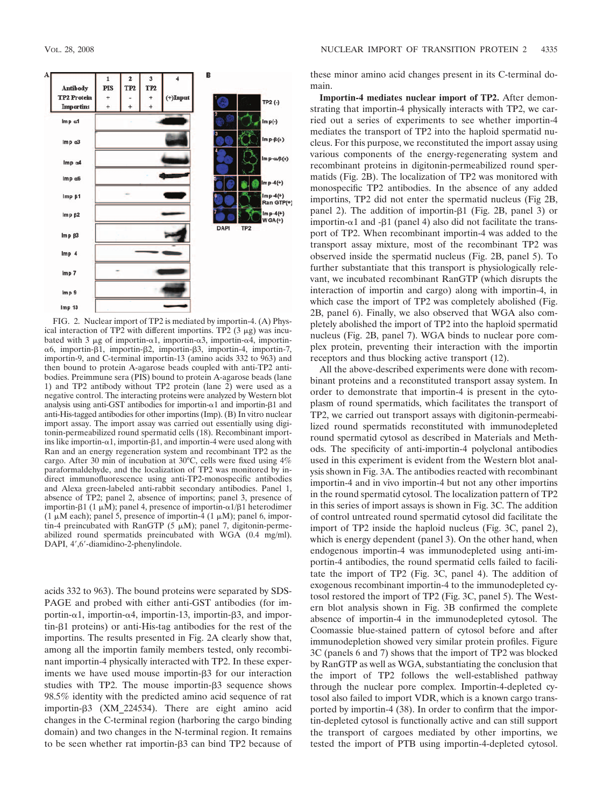

FIG. 2. Nuclear import of TP2 is mediated by importin-4. (A) Physical interaction of TP2 with different importins. TP2  $(3 \mu g)$  was incubated with 3  $\mu$ g of importin- $\alpha$ 1, importin- $\alpha$ 3, importin- $\alpha$ 4, importinα6, importin-β1, importin-β2, importin-β3, importin-4, importin-7, importin-9, and C-terminal importin-13 (amino acids 332 to 963) and then bound to protein A-agarose beads coupled with anti-TP2 antibodies. Preimmune sera (PIS) bound to protein A-agarose beads (lane 1) and TP2 antibody without TP2 protein (lane 2) were used as a negative control. The interacting proteins were analyzed by Western blot analysis using anti-GST antibodies for importin- $\alpha$ 1 and importin- $\beta$ 1 and anti-His-tagged antibodies for other importins (Imp). (B) In vitro nuclear import assay. The import assay was carried out essentially using digitonin-permeabilized round spermatid cells (18). Recombinant importins like importin- $\alpha$ 1, importin- $\beta$ 1, and importin-4 were used along with Ran and an energy regeneration system and recombinant TP2 as the cargo. After 30 min of incubation at 30°C, cells were fixed using 4% paraformaldehyde, and the localization of TP2 was monitored by indirect immunofluorescence using anti-TP2-monospecific antibodies and Alexa green-labeled anti-rabbit secondary antibodies. Panel 1, absence of TP2; panel 2, absence of importins; panel 3, presence of importin- $\beta$ 1 (1  $\mu$ M); panel 4, presence of importin- $\alpha$ 1/ $\beta$ 1 heterodimer (1  $\mu$ M each); panel 5, presence of importin-4 (1  $\mu$ M); panel 6, importin-4 preincubated with RanGTP (5  $\mu$ M); panel 7, digitonin-permeabilized round spermatids preincubated with WGA (0.4 mg/ml). DAPI, 4',6'-diamidino-2-phenylindole.

acids 332 to 963). The bound proteins were separated by SDS-PAGE and probed with either anti-GST antibodies (for importin-α1, importin-α4, importin-13, importin-β3, and impor $tin- $\beta$ 1 proteins) or anti-His-tag antibodies for the rest of the$ importins. The results presented in Fig. 2A clearly show that, among all the importin family members tested, only recombinant importin-4 physically interacted with TP2. In these experiments we have used mouse importin-3 for our interaction studies with TP2. The mouse importin- $\beta$ 3 sequence shows 98.5% identity with the predicted amino acid sequence of rat importin-3 (XM\_224534). There are eight amino acid changes in the C-terminal region (harboring the cargo binding domain) and two changes in the N-terminal region. It remains to be seen whether rat importin-3 can bind TP2 because of these minor amino acid changes present in its C-terminal domain.

**Importin-4 mediates nuclear import of TP2.** After demonstrating that importin-4 physically interacts with TP2, we carried out a series of experiments to see whether importin-4 mediates the transport of TP2 into the haploid spermatid nucleus. For this purpose, we reconstituted the import assay using various components of the energy-regenerating system and recombinant proteins in digitonin-permeabilized round spermatids (Fig. 2B). The localization of TP2 was monitored with monospecific TP2 antibodies. In the absence of any added importins, TP2 did not enter the spermatid nucleus (Fig 2B, panel 2). The addition of importin- $\beta$ 1 (Fig. 2B, panel 3) or importin- $\alpha$ 1 and - $\beta$ 1 (panel 4) also did not facilitate the transport of TP2. When recombinant importin-4 was added to the transport assay mixture, most of the recombinant TP2 was observed inside the spermatid nucleus (Fig. 2B, panel 5). To further substantiate that this transport is physiologically relevant, we incubated recombinant RanGTP (which disrupts the interaction of importin and cargo) along with importin-4, in which case the import of TP2 was completely abolished (Fig. 2B, panel 6). Finally, we also observed that WGA also completely abolished the import of TP2 into the haploid spermatid nucleus (Fig. 2B, panel 7). WGA binds to nuclear pore complex protein, preventing their interaction with the importin receptors and thus blocking active transport (12).

All the above-described experiments were done with recombinant proteins and a reconstituted transport assay system. In order to demonstrate that importin-4 is present in the cytoplasm of round spermatids, which facilitates the transport of TP2, we carried out transport assays with digitonin-permeabilized round spermatids reconstituted with immunodepleted round spermatid cytosol as described in Materials and Methods. The specificity of anti-importin-4 polyclonal antibodies used in this experiment is evident from the Western blot analysis shown in Fig. 3A. The antibodies reacted with recombinant importin-4 and in vivo importin-4 but not any other importins in the round spermatid cytosol. The localization pattern of TP2 in this series of import assays is shown in Fig. 3C. The addition of control untreated round spermatid cytosol did facilitate the import of TP2 inside the haploid nucleus (Fig. 3C, panel 2), which is energy dependent (panel 3). On the other hand, when endogenous importin-4 was immunodepleted using anti-importin-4 antibodies, the round spermatid cells failed to facilitate the import of TP2 (Fig. 3C, panel 4). The addition of exogenous recombinant importin-4 to the immunodepleted cytosol restored the import of TP2 (Fig. 3C, panel 5). The Western blot analysis shown in Fig. 3B confirmed the complete absence of importin-4 in the immunodepleted cytosol. The Coomassie blue-stained pattern of cytosol before and after immunodepletion showed very similar protein profiles. Figure 3C (panels 6 and 7) shows that the import of TP2 was blocked by RanGTP as well as WGA, substantiating the conclusion that the import of TP2 follows the well-established pathway through the nuclear pore complex. Importin-4-depleted cytosol also failed to import VDR, which is a known cargo transported by importin-4 (38). In order to confirm that the importin-depleted cytosol is functionally active and can still support the transport of cargoes mediated by other importins, we tested the import of PTB using importin-4-depleted cytosol.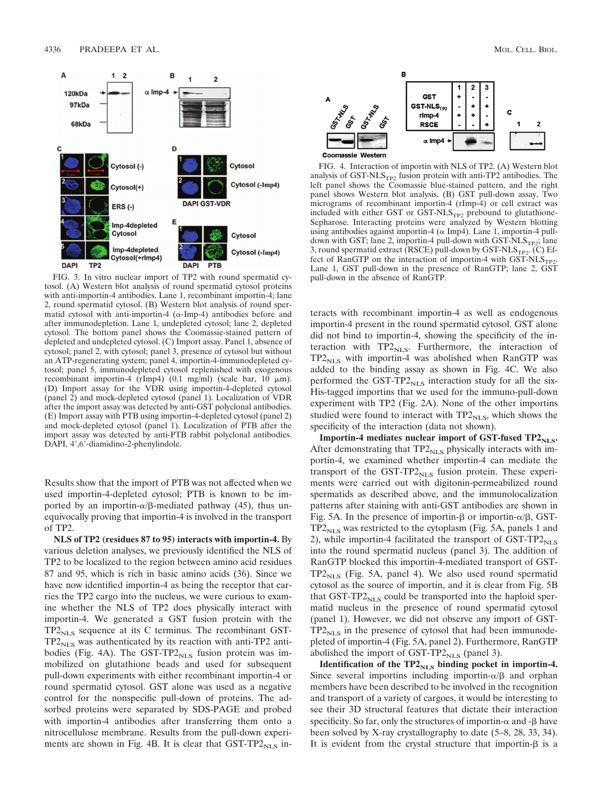

FIG. 3. In vitro nuclear import of TP2 with round spermatid cytosol. (A) Western blot analysis of round spermatid cytosol proteins with anti-importin-4 antibodies. Lane 1, recombinant importin-4; lane 2, round spermatid cytosol. (B) Western blot analysis of round spermatid cytosol with anti-importin-4  $(\alpha$ -Imp-4) antibodies before and after immunodepletion. Lane 1, undepleted cytosol; lane 2, depleted cytosol. The bottom panel shows the Coomassie-stained pattern of depleted and undepleted cytosol. (C) Import assay. Panel 1, absence of cytosol; panel 2, with cytosol; panel 3, presence of cytosol but without an ATP-regenerating system; panel 4, importin-4-immunodepleted cytosol; panel 5, immunodepleted cytosol replenished with exogenous recombinant importin-4 (rImp4) (0.1 mg/ml) (scale bar,  $10 \mu m$ ). (D) Import assay for the VDR using importin-4-depleted cytosol (panel 2) and mock-depleted cytosol (panel 1). Localization of VDR after the import assay was detected by anti-GST polyclonal antibodies. (E) Import assay with PTB using importin-4-depleted cytosol (panel 2) and mock-depleted cytosol (panel 1). Localization of PTB after the import assay was detected by anti-PTB rabbit polyclonal antibodies. DAPI, 4',6'-diamidino-2-phenylindole.

Results show that the import of PTB was not affected when we used importin-4-depleted cytosol; PTB is known to be imported by an importin- $\alpha/\beta$ -mediated pathway (45), thus unequivocally proving that importin-4 is involved in the transport of TP2.

**NLS of TP2 (residues 87 to 95) interacts with importin-4.** By various deletion analyses, we previously identified the NLS of TP2 to be localized to the region between amino acid residues 87 and 95, which is rich in basic amino acids (36). Since we have now identified importin-4 as being the receptor that carries the TP2 cargo into the nucleus, we were curious to examine whether the NLS of TP2 does physically interact with importin-4. We generated a GST fusion protein with the  $TP2<sub>NLS</sub>$  sequence at its C terminus. The recombinant GST- $TP2<sub>NLS</sub>$  was authenticated by its reaction with anti-TP2 antibodies (Fig. 4A). The GST-TP2 $_{NLS}$  fusion protein was immobilized on glutathione beads and used for subsequent pull-down experiments with either recombinant importin-4 or round spermatid cytosol. GST alone was used as a negative control for the nonspecific pull-down of proteins. The adsorbed proteins were separated by SDS-PAGE and probed with importin-4 antibodies after transferring them onto a nitrocellulose membrane. Results from the pull-down experiments are shown in Fig. 4B. It is clear that  $GST-TP2<sub>NLS</sub>$  in-



FIG. 4. Interaction of importin with NLS of TP2. (A) Western blot analysis of GST-NLS $_{TP2}$  fusion protein with anti-TP2 antibodies. The left panel shows the Coomassie blue-stained pattern, and the right panel shows Western blot analysis. (B) GST pull-down assay. Two micrograms of recombinant importin-4 (rImp-4) or cell extract was included with either GST or  $\overline{GST\text{-}NLS_{TP2}}$  prebound to glutathione-Sepharose. Interacting proteins were analyzed by Western blotting using antibodies against importin-4 ( $\alpha$  Imp4). Lane 1, importin-4 pulldown with GST; lane 2, importin-4 pull-down with  $\text{GST-NLS}_{TP2}$ ; lane 3, round spermatid extract (RSCE) pull-down by  $GST\text{-}NLS_{TP2}$ . (C) Effect of RanGTP on the interaction of importin-4 with  $GST\text{-}NLS_{TP2}$ . Lane 1, GST pull-down in the presence of RanGTP; lane 2, GST pull-down in the absence of RanGTP.

teracts with recombinant importin-4 as well as endogenous importin-4 present in the round spermatid cytosol. GST alone did not bind to importin-4, showing the specificity of the interaction with  $TP2_{NLS}$ . Furthermore, the interaction of  $TP2<sub>NLS</sub>$  with importin-4 was abolished when RanGTP was added to the binding assay as shown in Fig. 4C. We also performed the GST-TP2 $_{\rm NLS}$  interaction study for all the six-His-tagged importins that we used for the immuno-pull-down experiment with TP2 (Fig. 2A). None of the other importins studied were found to interact with  $TP2<sub>NLS</sub>$ , which shows the specificity of the interaction (data not shown).

Importin-4 mediates nuclear import of GST-fused TP2<sub>NLS</sub>. After demonstrating that  $TP2<sub>NLS</sub>$  physically interacts with importin-4, we examined whether importin-4 can mediate the transport of the  $GST-TP2<sub>NLS</sub>$  fusion protein. These experiments were carried out with digitonin-permeabilized round spermatids as described above, and the immunolocalization patterns after staining with anti-GST antibodies are shown in Fig. 5A. In the presence of importin- $\beta$  or importin- $\alpha/\beta$ , GST- $TP2<sub>NLS</sub>$  was restricted to the cytoplasm (Fig. 5A, panels 1 and 2), while importin-4 facilitated the transport of  $GST-TP2_{NLS}$ into the round spermatid nucleus (panel 3). The addition of RanGTP blocked this importin-4-mediated transport of GST- $TP2<sub>NLS</sub>$  (Fig. 5A, panel 4). We also used round spermatid cytosol as the source of importin, and it is clear from Fig. 5B that  $GST-TP2<sub>NLS</sub>$  could be transported into the haploid spermatid nucleus in the presence of round spermatid cytosol (panel 1). However, we did not observe any import of GST- $TP2<sub>NLS</sub>$  in the presence of cytosol that had been immunodepleted of importin-4 (Fig. 5A, panel 2). Furthermore, RanGTP abolished the import of GST-TP2 $_{\text{NLS}}$  (panel 3).

Identification of the TP2<sub>NLS</sub> binding pocket in importin-4. Since several importins including importin- $\alpha/\beta$  and orphan members have been described to be involved in the recognition and transport of a variety of cargoes, it would be interesting to see their 3D structural features that dictate their interaction specificity. So far, only the structures of importin- $\alpha$  and - $\beta$  have been solved by X-ray crystallography to date (5–8, 28, 33, 34). It is evident from the crystal structure that importin- $\beta$  is a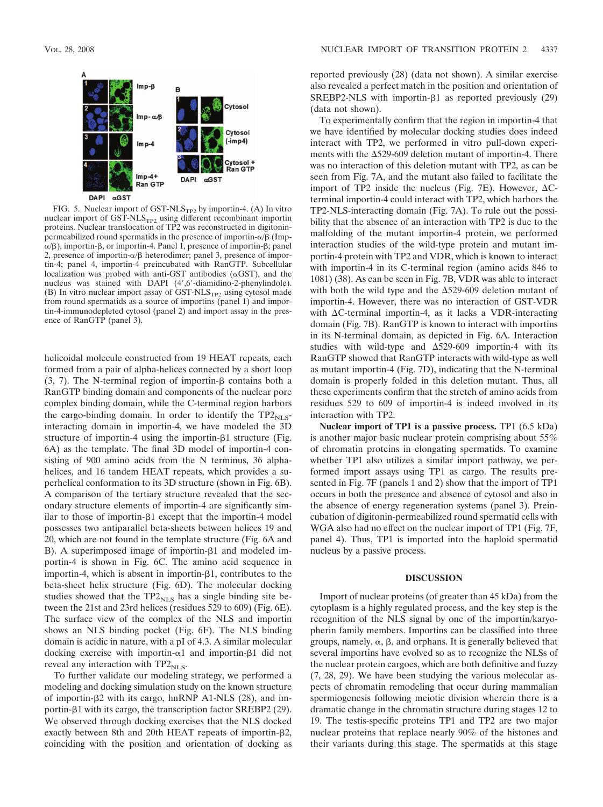

FIG. 5. Nuclear import of GST-NLS<sub>TP2</sub> by importin-4. (A) In vitro nuclear import of GST-NLS<sub>TP2</sub> using different recombinant importin proteins. Nuclear translocation of TP2 was reconstructed in digitoninpermeabilized round spermatids in the presence of importin- $\alpha/\beta$  (Imp- $\alpha/\beta$ ), importin- $\beta$ , or importin-4. Panel 1, presence of importin- $\beta$ ; panel 2, presence of importin- $\alpha/\beta$  heterodimer; panel 3, presence of importin-4; panel 4, importin-4 preincubated with RanGTP. Subcellular localization was probed with anti-GST antibodies  $(\alpha GST)$ , and the nucleus was stained with DAPI (4',6'-diamidino-2-phenylindole). (B) In vitro nuclear import assay of  $GST\text{-}NLS_{TP2}$  using cytosol made from round spermatids as a source of importins (panel 1) and importin-4-immunodepleted cytosol (panel 2) and import assay in the presence of RanGTP (panel 3).

helicoidal molecule constructed from 19 HEAT repeats, each formed from a pair of alpha-helices connected by a short loop (3, 7). The N-terminal region of importin- $\beta$  contains both a RanGTP binding domain and components of the nuclear pore complex binding domain, while the C-terminal region harbors the cargo-binding domain. In order to identify the  $TP2_{NLS}$ interacting domain in importin-4, we have modeled the 3D structure of importin-4 using the importin- $\beta$ 1 structure (Fig. 6A) as the template. The final 3D model of importin-4 consisting of 900 amino acids from the N terminus, 36 alphahelices, and 16 tandem HEAT repeats, which provides a superhelical conformation to its 3D structure (shown in Fig. 6B). A comparison of the tertiary structure revealed that the secondary structure elements of importin-4 are significantly similar to those of importin- $\beta$ 1 except that the importin-4 model possesses two antiparallel beta-sheets between helices 19 and 20, which are not found in the template structure (Fig. 6A and B). A superimposed image of importin- $\beta$ 1 and modeled importin-4 is shown in Fig. 6C. The amino acid sequence in importin-4, which is absent in importin- $\beta$ 1, contributes to the beta-sheet helix structure (Fig. 6D). The molecular docking studies showed that the  $TP2_{NLS}$  has a single binding site between the 21st and 23rd helices (residues 529 to 609) (Fig. 6E). The surface view of the complex of the NLS and importin shows an NLS binding pocket (Fig. 6F). The NLS binding domain is acidic in nature, with a pI of 4.3. A similar molecular docking exercise with importin- $\alpha$ 1 and importin- $\beta$ 1 did not reveal any interaction with  $TP2<sub>NLS</sub>$ .

To further validate our modeling strategy, we performed a modeling and docking simulation study on the known structure of importin-2 with its cargo, hnRNP A1-NLS (28), and importin- $\beta$ 1 with its cargo, the transcription factor SREBP2 (29). We observed through docking exercises that the NLS docked exactly between 8th and 20th HEAT repeats of importin-2, coinciding with the position and orientation of docking as reported previously (28) (data not shown). A similar exercise also revealed a perfect match in the position and orientation of SREBP2-NLS with importin- $\beta$ 1 as reported previously (29) (data not shown).

To experimentally confirm that the region in importin-4 that we have identified by molecular docking studies does indeed interact with TP2, we performed in vitro pull-down experiments with the  $\Delta$ 529-609 deletion mutant of importin-4. There was no interaction of this deletion mutant with TP2, as can be seen from Fig. 7A, and the mutant also failed to facilitate the import of TP2 inside the nucleus (Fig. 7E). However,  $\Delta C$ terminal importin-4 could interact with TP2, which harbors the TP2-NLS-interacting domain (Fig. 7A). To rule out the possibility that the absence of an interaction with TP2 is due to the malfolding of the mutant importin-4 protein, we performed interaction studies of the wild-type protein and mutant importin-4 protein with TP2 and VDR, which is known to interact with importin-4 in its C-terminal region (amino acids 846 to 1081) (38). As can be seen in Fig. 7B, VDR was able to interact with both the wild type and the  $\Delta$ 529-609 deletion mutant of importin-4. However, there was no interaction of GST-VDR with  $\Delta C$ -terminal importin-4, as it lacks a VDR-interacting domain (Fig. 7B). RanGTP is known to interact with importins in its N-terminal domain, as depicted in Fig. 6A. Interaction studies with wild-type and  $\Delta$ 529-609 importin-4 with its RanGTP showed that RanGTP interacts with wild-type as well as mutant importin-4 (Fig. 7D), indicating that the N-terminal domain is properly folded in this deletion mutant. Thus, all these experiments confirm that the stretch of amino acids from residues 529 to 609 of importin-4 is indeed involved in its interaction with TP2.

**Nuclear import of TP1 is a passive process.** TP1 (6.5 kDa) is another major basic nuclear protein comprising about 55% of chromatin proteins in elongating spermatids. To examine whether TP1 also utilizes a similar import pathway, we performed import assays using TP1 as cargo. The results presented in Fig. 7F (panels 1 and 2) show that the import of TP1 occurs in both the presence and absence of cytosol and also in the absence of energy regeneration systems (panel 3). Preincubation of digitonin-permeabilized round spermatid cells with WGA also had no effect on the nuclear import of TP1 (Fig. 7F, panel 4). Thus, TP1 is imported into the haploid spermatid nucleus by a passive process.

## **DISCUSSION**

Import of nuclear proteins (of greater than 45 kDa) from the cytoplasm is a highly regulated process, and the key step is the recognition of the NLS signal by one of the importin/karyopherin family members. Importins can be classified into three groups, namely,  $\alpha$ ,  $\beta$ , and orphans. It is generally believed that several importins have evolved so as to recognize the NLSs of the nuclear protein cargoes, which are both definitive and fuzzy (7, 28, 29). We have been studying the various molecular aspects of chromatin remodeling that occur during mammalian spermiogenesis following meiotic division wherein there is a dramatic change in the chromatin structure during stages 12 to 19. The testis-specific proteins TP1 and TP2 are two major nuclear proteins that replace nearly 90% of the histones and their variants during this stage. The spermatids at this stage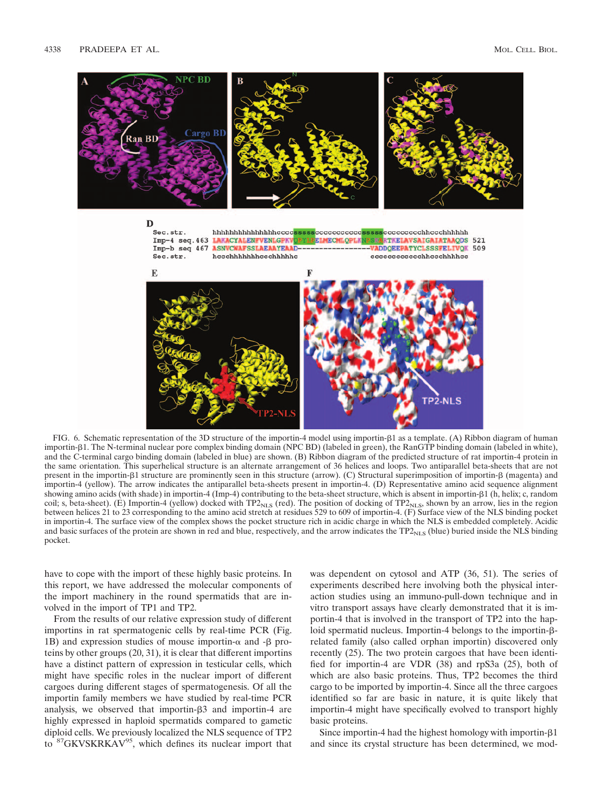

FIG. 6. Schematic representation of the 3D structure of the importin-4 model using importin-1 as a template. (A) Ribbon diagram of human importin- $\beta$ 1. The N-terminal nuclear pore complex binding domain (NPC BD) (labeled in green), the RanGTP binding domain (labeled in white), and the C-terminal cargo binding domain (labeled in blue) are shown. (B) Ribbon diagram of the predicted structure of rat importin-4 protein in the same orientation. This superhelical structure is an alternate arrangement of 36 helices and loops. Two antiparallel beta-sheets that are not present in the importin- $\beta$ 1 structure are prominently seen in this structure (arrow). (C) Structural superimposition of importin- $\beta$  (magenta) and importin-4 (yellow). The arrow indicates the antiparallel beta-sheets present in importin-4. (D) Representative amino acid sequence alignment showing amino acids (with shade) in importin-4 (Imp-4) contributing to the beta-sheet structure, which is absent in importin- $\beta$ 1 (h, helix; c, random coil; s, beta-sheet). (E) Importin-4 (yellow) docked with TP2 $_{\rm NLS}$  (red). The position of docking of TP2 $_{\rm NLS}$ , shown by an arrow, lies in the region between helices 21 to 23 corresponding to the amino acid stretch at residues 529 to 609 of importin-4. (F) Surface view of the NLS binding pocket in importin-4. The surface view of the complex shows the pocket structure rich in acidic charge in which the NLS is embedded completely. Acidic and basic surfaces of the protein are shown in red and blue, respectively, and the arrow indicates the  $TP2<sub>NLS</sub>$  (blue) buried inside the NLS binding pocket.

have to cope with the import of these highly basic proteins. In this report, we have addressed the molecular components of the import machinery in the round spermatids that are involved in the import of TP1 and TP2.

From the results of our relative expression study of different importins in rat spermatogenic cells by real-time PCR (Fig. 1B) and expression studies of mouse importin- $\alpha$  and - $\beta$  proteins by other groups (20, 31), it is clear that different importins have a distinct pattern of expression in testicular cells, which might have specific roles in the nuclear import of different cargoes during different stages of spermatogenesis. Of all the importin family members we have studied by real-time PCR analysis, we observed that importin-3 and importin-4 are highly expressed in haploid spermatids compared to gametic diploid cells. We previously localized the NLS sequence of TP2 to <sup>87</sup>GKVSKRKAV<sup>95</sup>, which defines its nuclear import that was dependent on cytosol and ATP (36, 51). The series of experiments described here involving both the physical interaction studies using an immuno-pull-down technique and in vitro transport assays have clearly demonstrated that it is importin-4 that is involved in the transport of TP2 into the haploid spermatid nucleus. Importin-4 belongs to the importin- $\beta$ related family (also called orphan importin) discovered only recently (25). The two protein cargoes that have been identified for importin-4 are VDR (38) and rpS3a (25), both of which are also basic proteins. Thus, TP2 becomes the third cargo to be imported by importin-4. Since all the three cargoes identified so far are basic in nature, it is quite likely that importin-4 might have specifically evolved to transport highly basic proteins.

Since importin-4 had the highest homology with importin- $\beta$ 1 and since its crystal structure has been determined, we mod-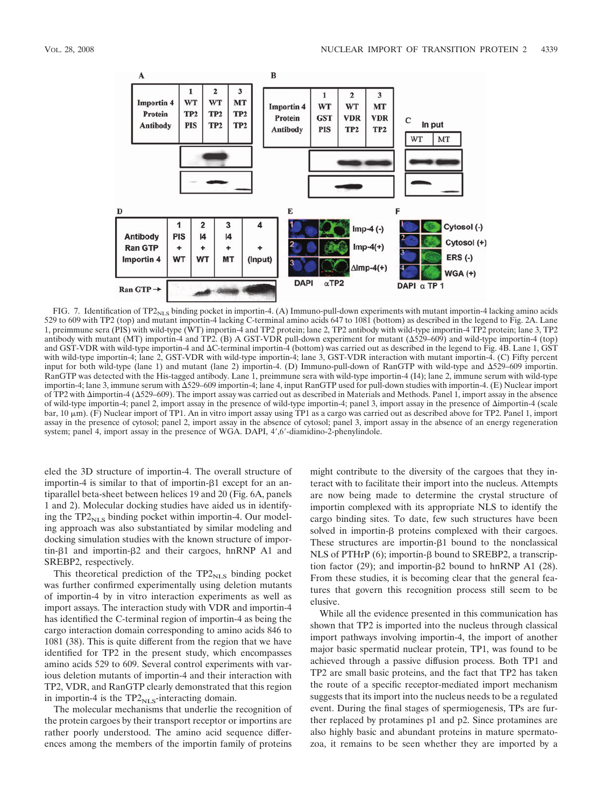

FIG. 7. Identification of TP2<sub>NLS</sub> binding pocket in importin-4. (A) Immuno-pull-down experiments with mutant importin-4 lacking amino acids 529 to 609 with TP2 (top) and mutant importin-4 lacking C-terminal amino acids 647 to 1081 (bottom) as described in the legend to Fig. 2A. Lane 1, preimmune sera (PIS) with wild-type (WT) importin-4 and TP2 protein; lane 2, TP2 antibody with wild-type importin-4 TP2 protein; lane 3, TP2 antibody with mutant (MT) importin-4 and TP2. (B) A GST-VDR pull-down experiment for mutant (529–609) and wild-type importin-4 (top) and GST-VDR with wild-type importin-4 and C-terminal importin-4 (bottom) was carried out as described in the legend to Fig. 4B. Lane 1, GST with wild-type importin-4; lane 2, GST-VDR with wild-type importin-4; lane 3, GST-VDR interaction with mutant importin-4. (C) Fifty percent input for both wild-type (lane 1) and mutant (lane 2) importin-4. (D) Immuno-pull-down of RanGTP with wild-type and 529–609 importin. RanGTP was detected with the His-tagged antibody. Lane 1, preimmune sera with wild-type importin-4 (I4); lane 2, immune serum with wild-type importin-4; lane 3, immune serum with  $\Delta$ 529–609 importin-4; lane 4, input RanGTP used for pull-down studies with importin-4. (E) Nuclear import of TP2 with  $\Delta$ importin-4 ( $\Delta$ 529–609). The import assay was carried out as described in Materials and Methods. Panel 1, import assay in the absence of wild-type importin-4; panel 2, import assay in the presence of wild-type importin-4; panel 3, import assay in the presence of importin-4 (scale bar, 10 μm). (F) Nuclear import of TP1. An in vitro import assay using TP1 as a cargo was carried out as described above for TP2. Panel 1, import assay in the presence of cytosol; panel 2, import assay in the absence of cytosol; panel 3, import assay in the absence of an energy regeneration system; panel 4, import assay in the presence of WGA. DAPI, 4',6'-diamidino-2-phenylindole.

eled the 3D structure of importin-4. The overall structure of importin-4 is similar to that of importin- $\beta$ 1 except for an antiparallel beta-sheet between helices 19 and 20 (Fig. 6A, panels 1 and 2). Molecular docking studies have aided us in identifying the  $TP2_{NLS}$  binding pocket within importin-4. Our modeling approach was also substantiated by similar modeling and docking simulation studies with the known structure of importin- $\beta$ 1 and importin- $\beta$ 2 and their cargoes, hnRNP A1 and SREBP2, respectively.

This theoretical prediction of the  $TP2<sub>NLS</sub>$  binding pocket was further confirmed experimentally using deletion mutants of importin-4 by in vitro interaction experiments as well as import assays. The interaction study with VDR and importin-4 has identified the C-terminal region of importin-4 as being the cargo interaction domain corresponding to amino acids 846 to 1081 (38). This is quite different from the region that we have identified for TP2 in the present study, which encompasses amino acids 529 to 609. Several control experiments with various deletion mutants of importin-4 and their interaction with TP2, VDR, and RanGTP clearly demonstrated that this region in importin-4 is the  $TP2<sub>NLS</sub>$ -interacting domain.

The molecular mechanisms that underlie the recognition of the protein cargoes by their transport receptor or importins are rather poorly understood. The amino acid sequence differences among the members of the importin family of proteins

might contribute to the diversity of the cargoes that they interact with to facilitate their import into the nucleus. Attempts are now being made to determine the crystal structure of importin complexed with its appropriate NLS to identify the cargo binding sites. To date, few such structures have been solved in importin- $\beta$  proteins complexed with their cargoes. These structures are importin- $\beta$ 1 bound to the nonclassical NLS of PTHrP  $(6)$ ; importin- $\beta$  bound to SREBP2, a transcription factor (29); and importin- $\beta$ 2 bound to hnRNP A1 (28). From these studies, it is becoming clear that the general features that govern this recognition process still seem to be elusive.

While all the evidence presented in this communication has shown that TP2 is imported into the nucleus through classical import pathways involving importin-4, the import of another major basic spermatid nuclear protein, TP1, was found to be achieved through a passive diffusion process. Both TP1 and TP2 are small basic proteins, and the fact that TP2 has taken the route of a specific receptor-mediated import mechanism suggests that its import into the nucleus needs to be a regulated event. During the final stages of spermiogenesis, TPs are further replaced by protamines p1 and p2. Since protamines are also highly basic and abundant proteins in mature spermatozoa, it remains to be seen whether they are imported by a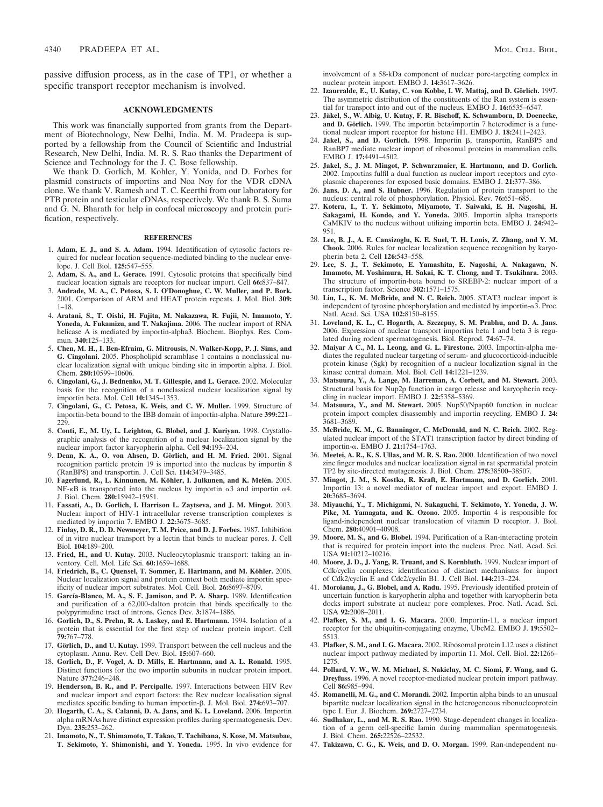passive diffusion process, as in the case of TP1, or whether a specific transport receptor mechanism is involved.

#### **ACKNOWLEDGMENTS**

This work was financially supported from grants from the Department of Biotechnology, New Delhi, India. M. M. Pradeepa is supported by a fellowship from the Council of Scientific and Industrial Research, New Delhi, India. M. R. S. Rao thanks the Department of Science and Technology for the J. C. Bose fellowship.

We thank D. Gorlich, M. Kohler, Y. Yonida, and D. Forbes for plasmid constructs of importins and Noa Noy for the VDR cDNA clone. We thank V. Ramesh and T. C. Keerthi from our laboratory for PTB protein and testicular cDNAs, respectively. We thank B. S. Suma and G. N. Bharath for help in confocal microscopy and protein purification, respectively.

## **REFERENCES**

- 1. **Adam, E. J., and S. A. Adam.** 1994. Identification of cytosolic factors required for nuclear location sequence-mediated binding to the nuclear envelope. J. Cell Biol. **125:**547–555.
- 2. **Adam, S. A., and L. Gerace.** 1991. Cytosolic proteins that specifically bind nuclear location signals are receptors for nuclear import. Cell **66:**837–847.
- 3. **Andrade, M. A., C. Petosa, S. I. O'Donoghue, C. W. Muller, and P. Bork.** 2001. Comparison of ARM and HEAT protein repeats. J. Mol. Biol. **309:** 1–18.
- 4. **Aratani, S., T. Oishi, H. Fujita, M. Nakazawa, R. Fujii, N. Imamoto, Y. Yoneda, A. Fukamizu, and T. Nakajima.** 2006. The nuclear import of RNA helicase A is mediated by importin-alpha3. Biochem. Biophys. Res. Commun. **340:**125–133.
- 5. **Chen, M. H., I. Ben-Efraim, G. Mitrousis, N. Walker-Kopp, P. J. Sims, and G. Cingolani.** 2005. Phospholipid scramblase 1 contains a nonclassical nuclear localization signal with unique binding site in importin alpha. J. Biol. Chem. **280:**10599–10606.
- 6. **Cingolani, G., J. Bednenko, M. T. Gillespie, and L. Gerace.** 2002. Molecular basis for the recognition of a nonclassical nuclear localization signal by importin beta. Mol. Cell **10:**1345–1353.
- 7. **Cingolani, G., C. Petosa, K. Weis, and C. W. Muller.** 1999. Structure of importin-beta bound to the IBB domain of importin-alpha. Nature **399:**221– 229.
- 8. **Conti, E., M. Uy, L. Leighton, G. Blobel, and J. Kuriyan.** 1998. Crystallographic analysis of the recognition of a nuclear localization signal by the nuclear import factor karyopherin alpha. Cell **94:**193–204.
- 9. Dean, K. A., O. von Ahsen, D. Görlich, and H. M. Fried. 2001. Signal recognition particle protein 19 is imported into the nucleus by importin 8 (RanBP8) and transportin. J. Cell Sci. **114:**3479–3485.
- 10. Fagerlund, R., L. Kinnunen, M. Köhler, I. Julkunen, and K. Melén. 2005. NF- $\kappa$ B is transported into the nucleus by importin  $\alpha$ 3 and importin  $\alpha$ 4. J. Biol. Chem. **280:**15942–15951.
- 11. **Fassati, A., D. Gorlich, I. Harrison L. Zaytseva, and J. M. Mingot.** 2003. Nuclear import of HIV-1 intracellular reverse transcription complexes is mediated by importin 7. EMBO J. **22:**3675–3685.
- 12. **Finlay, D. R., D. D. Newmeyer, T. M. Price, and D. J. Forbes.** 1987. Inhibition of in vitro nuclear transport by a lectin that binds to nuclear pores. J. Cell Biol. **104:**189–200.
- 13. **Fried, H., and U. Kutay.** 2003. Nucleocytoplasmic transport: taking an inventory. Cell. Mol. Life Sci. **60:**1659–1688.
- 14. Friedrich, B., C. Quensel, T. Sommer, E. Hartmann, and M. Köhler. 2006. Nuclear localization signal and protein context both mediate importin specificity of nuclear import substrates. Mol. Cell. Biol. **26:**8697–8709.
- 15. **Garcı´a-Blanco, M. A., S. F. Jamison, and P. A. Sharp.** 1989. Identification and purification of a 62,000-dalton protein that binds specifically to the polypyrimidine tract of introns. Genes Dev. **3:**1874–1886.
- 16. **Gorlich, D., S. Prehn, R. A. Laskey, and E. Hartmann.** 1994. Isolation of a protein that is essential for the first step of nuclear protein import. Cell **79:**767–778.
- 17. Görlich, D., and U. Kutay. 1999. Transport between the cell nucleus and the cytoplasm. Annu. Rev. Cell Dev. Biol. **15:**607–660.
- 18. **Gorlich, D., F. Vogel, A. D. Mills, E. Hartmann, and A. L. Ronald.** 1995. Distinct functions for the two importin subunits in nuclear protein import. Nature **377:**246–248.
- 19. **Henderson, B. R., and P. Percipalle.** 1997. Interactions between HIV Rev and nuclear import and export factors: the Rev nuclear localisation signal mediates specific binding to human importin- $\beta$ . J. Mol. Biol. 274:693–707.
- 20. **Hogarth, C. A., S. Calanni, D. A. Jans, and K. L. Loveland.** 2006. Importin alpha mRNAs have distinct expression profiles during spermatogenesis. Dev. Dyn. **235:**253–262.
- 21. **Imamoto, N., T. Shimamoto, T. Takao, T. Tachibana, S. Kose, M. Matsubae, T. Sekimoto, Y. Shimonishi, and Y. Yoneda.** 1995. In vivo evidence for

involvement of a 58-kDa component of nuclear pore-targeting complex in nuclear protein import. EMBO J. **14:**3617–3626.

- 22. Izaurralde, E., U. Kutay, C. von Kobbe, I. W. Mattaj, and D. Görlich. 1997. The asymmetric distribution of the constituents of the Ran system is essential for transport into and out of the nucleus. EMBO J. **16:**6535–6547.
- 23. **Ja¨kel, S., W. Albig, U. Kutay, F. R. Bischoff, K. Schwamborn, D. Doenecke,** and D. Görlich. 1999. The importin beta/importin 7 heterodimer is a functional nuclear import receptor for histone H1. EMBO J. **18:**2411–2423.
- 24. Jakel, S., and D. Gorlich. 1998. Importin  $\beta$ , transportin, RanBP5 and RanBP7 mediate nuclear import of ribosomal proteins in mammalian cells. EMBO J. **17:**4491–4502.
- 25. **Jakel, S., J. M. Mingot, P. Schwarzmaier, E. Hartmann, and D. Gorlich.** 2002. Importins fulfil a dual function as nuclear import receptors and cytoplasmic chaperones for exposed basic domains. EMBO J. **21:**377–386.
- 26. **Jans, D. A., and S. Hubner.** 1996. Regulation of protein transport to the nucleus: central role of phosphorylation. Physiol. Rev. **76:**651–685.
- 27. **Kotera, I., T. Y. Sekimoto, Miyamoto, T. Saiwaki, E. H. Nagoshi, H. Sakagami, H. Kondo, and Y. Yoneda.** 2005. Importin alpha transports CaMKIV to the nucleus without utilizing importin beta. EMBO J. **24:**942– 951.
- 28. **Lee, B. J., A. E. Cansizoglu, K. E. Suel, T. H. Louis, Z. Zhang, and Y. M. Chook.** 2006. Rules for nuclear localization sequence recognition by karyopherin beta 2. Cell **126:**543–558.
- 29. **Lee, S. J., T. Sekimoto, E. Yamashita, E. Nagoshi, A. Nakagawa, N. Imamoto, M. Yoshimura, H. Sakai, K. T. Chong, and T. Tsukihara.** 2003. The structure of importin-beta bound to SREBP-2: nuclear import of a transcription factor. Science **302:**1571–1575.
- 30. **Liu, L., K. M. McBride, and N. C. Reich.** 2005. STAT3 nuclear import is independent of tyrosine phosphorylation and mediated by importin- $\alpha$ 3. Proc. Natl. Acad. Sci. USA **102:**8150–8155.
- 31. **Loveland, K. L., C. Hogarth, A. Szczepny, S. M. Prabhu, and D. A. Jans.** 2006. Expression of nuclear transport importins beta 1 and beta 3 is regulated during rodent spermatogenesis. Biol. Reprod. **74:**67–74.
- 32. **Maiyar A C., M. L. Leong, and G. L. Firestone.** 2003. Importin-alpha mediates the regulated nuclear targeting of serum- and glucocorticoid-inducible protein kinase (Sgk) by recognition of a nuclear localization signal in the kinase central domain. Mol. Biol. Cell **14:**1221–1239.
- 33. **Matsuura, Y., A. Lange, M. Harreman, A. Corbett, and M. Stewart.** 2003. Structural basis for Nup2p function in cargo release and karyopherin recycling in nuclear import. EMBO J. **22:**5358–5369.
- 34. **Matsuura, Y., and M. Stewart.** 2005. Nup50/Npap60 function in nuclear protein import complex disassembly and importin recycling. EMBO J. **24:** 3681–3689.
- 35. **McBride, K. M., G. Banninger, C. McDonald, and N. C. Reich.** 2002. Regulated nuclear import of the STAT1 transcription factor by direct binding of importin-α. EMBO J. 21:1754-1763.
- 36. **Meetei, A. R., K. S. Ullas, and M. R. S. Rao.** 2000. Identification of two novel zinc finger modules and nuclear localization signal in rat spermatidal protein TP2 by site-directed mutagenesis. J. Biol. Chem. **275:**38500–38507.
- 37. **Mingot, J. M., S. Kostka, R. Kraft, E. Hartmann, and D. Gorlich.** 2001. Importin 13: a novel mediator of nuclear import and export. EMBO J. **20:**3685–3694.
- 38. **Miyauchi, Y., T. Michigami, N. Sakaguchi, T. Sekimoto, Y. Yoneda, J. W. Pike, M. Yamagata, and K. Ozono.** 2005. Importin 4 is responsible for ligand-independent nuclear translocation of vitamin D receptor. J. Biol. Chem. **280:**40901–40908.
- 39. **Moore, M. S., and G. Blobel.** 1994. Purification of a Ran-interacting protein that is required for protein import into the nucleus. Proc. Natl. Acad. Sci. USA **91:**10212–10216.
- 40. **Moore, J. D., J. Yang, R. Truant, and S. Kornbluth.** 1999. Nuclear import of Cdk/cyclin complexes: identification of distinct mechanisms for import of Cdk2/cyclin E and Cdc2/cyclin B1. J. Cell Biol. **144:**213–224.
- 41. **Moroianu, J., G. Blobel, and A. Radu.** 1995. Previously identified protein of uncertain function is karyopherin alpha and together with karyopherin beta docks import substrate at nuclear pore complexes. Proc. Natl. Acad. Sci. USA **92:**2008–2011.
- 42. **Plafker, S. M., and I. G. Macara.** 2000. Importin-11, a nuclear import receptor for the ubiquitin-conjugating enzyme, UbcM2. EMBO J. **19:**5502– 5513.
- 43. **Plafker, S. M., and I. G. Macara.** 2002. Ribosomal protein L12 uses a distinct nuclear import pathway mediated by importin 11. Mol. Cell. Biol. **22:**1266– 1275.
- 44. **Pollard, V. W., W. M. Michael, S. Nakielny, M. C. Siomi, F. Wang, and G. Dreyfuss.** 1996. A novel receptor-mediated nuclear protein import pathway. Cell **86:**985–994.
- 45. **Romanelli, M. G., and C. Morandi.** 2002. Importin alpha binds to an unusual bipartite nuclear localization signal in the heterogeneous ribonucleoprotein type I. Eur. J. Biochem. **269:**2727–2734.
- 46. **Sudhakar, L., and M. R. S. Rao.** 1990. Stage-dependent changes in localization of a germ cell-specific lamin during mammalian spermatogenesis. J. Biol. Chem. **265:**22526–22532.
- 47. **Takizawa, C. G., K. Weis, and D. O. Morgan.** 1999. Ran-independent nu-